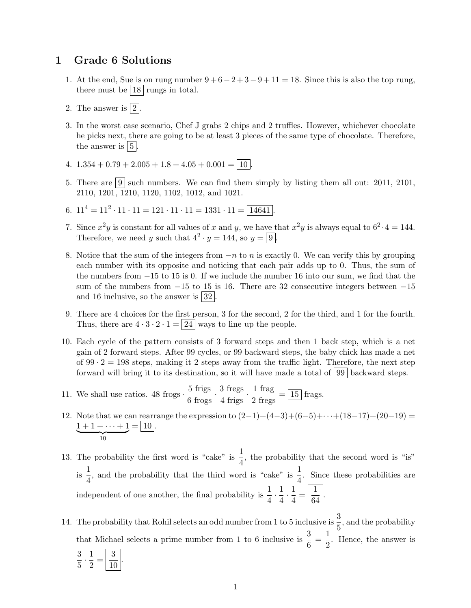## 1 Grade 6 Solutions

- 1. At the end, Sue is on rung number  $9 + 6 2 + 3 9 + 11 = 18$ . Since this is also the top rung, there must be  $|18|$  rungs in total.
- 2. The answer is  $\boxed{2}$ .
- 3. In the worst case scenario, Chef J grabs 2 chips and 2 truffles. However, whichever chocolate he picks next, there are going to be at least 3 pieces of the same type of chocolate. Therefore, the answer is  $\vert 5 \vert$ .
- 4.  $1.354 + 0.79 + 2.005 + 1.8 + 4.05 + 0.001 = \boxed{10}$ .
- 5. There are  $\boxed{9}$  such numbers. We can find them simply by listing them all out: 2011, 2101, 2110, 1201, 1210, 1120, 1102, 1012, and 1021.
- 6.  $11^4 = 11^2 \cdot 11 \cdot 11 = 121 \cdot 11 \cdot 11 = 1331 \cdot 11 = \boxed{14641}$ .
- 7. Since  $x^2y$  is constant for all values of x and y, we have that  $x^2y$  is always equal to  $6^2 \cdot 4 = 144$ . Therefore, we need y such that  $4^2 \cdot y = 144$ , so  $y = 9$ .
- 8. Notice that the sum of the integers from  $-n$  to n is exactly 0. We can verify this by grouping each number with its opposite and noticing that each pair adds up to 0. Thus, the sum of the numbers from −15 to 15 is 0. If we include the number 16 into our sum, we find that the sum of the numbers from  $-15$  to 15 is 16. There are 32 consecutive integers between  $-15$ and 16 inclusive, so the answer is  $|32|$ .
- 9. There are 4 choices for the first person, 3 for the second, 2 for the third, and 1 for the fourth. Thus, there are  $4 \cdot 3 \cdot 2 \cdot 1 = |24|$  ways to line up the people.
- 10. Each cycle of the pattern consists of 3 forward steps and then 1 back step, which is a net gain of 2 forward steps. After 99 cycles, or 99 backward steps, the baby chick has made a net of  $99 \cdot 2 = 198$  steps, making it 2 steps away from the traffic light. Therefore, the next step forward will bring it to its destination, so it will have made a total of  $|99|$  backward steps.
- 11. We shall use ratios. 48 frogs  $\cdot \frac{5 \text{ frigs}}{6 \text{ frogs}} \cdot \frac{3 \text{ fregs}}{4 \text{ frigs}} \cdot \frac{1 \text{ frag}}{2 \text{ fregs}} = \boxed{15}$  frags.
- 12. Note that we can rearrange the expression to  $(2-1)+(4-3)+(6-5)+\cdots+(18-17)+(20-19)$  $1 + 1 + \cdots + 1$  $\frac{1}{10}$  $= | 10 |.$

13. The probability the first word is "cake" is  $\frac{1}{4}$ , the probability that the second word is "is" is  $\frac{1}{1}$  $\frac{1}{4}$ , and the probability that the third word is "cake" is  $\frac{1}{4}$ . Since these probabilities are independent of one another, the final probability is  $\frac{1}{4} \cdot \frac{1}{4}$  $\frac{1}{4} \cdot \frac{1}{4}$  $\frac{1}{4} = \frac{1}{64}$  $\frac{1}{64}$ .

14. The probability that Rohil selects an odd number from 1 to 5 inclusive is  $\frac{3}{5}$ , and the probability that Michael selects a prime number from 1 to 6 inclusive is  $\frac{3}{6} = \frac{1}{2}$  $\frac{1}{2}$ . Hence, the answer is 3

 $\frac{3}{5} \cdot \frac{1}{2}$  $rac{1}{2} = \frac{3}{10}$ 10 .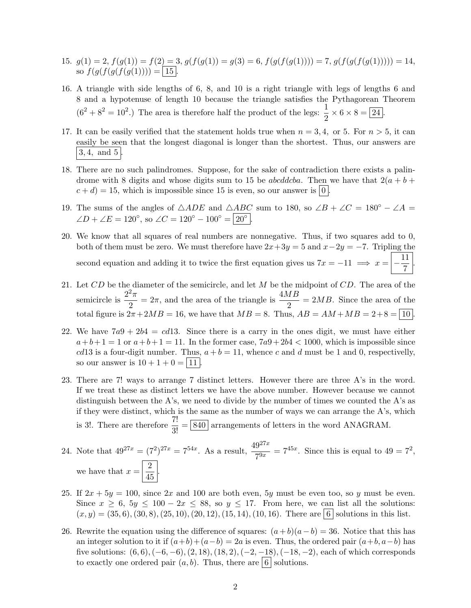- 15.  $g(1) = 2, f(g(1)) = f(2) = 3, g(f(g(1)) = g(3) = 6, f(g(f(g(1)))) = 7, g(f(g(f(g(1)))) = 14,$ so  $f(g(f(g(f(g(1)))) = | 15 |.$
- 16. A triangle with side lengths of 6, 8, and 10 is a right triangle with legs of lengths 6 and 8 and a hypotenuse of length 10 because the triangle satisfies the Pythagorean Theorem  $(6^2 + 8^2 = 10^2)$  The area is therefore half the product of the legs:  $\frac{1}{2} \times 6 \times 8 = 24$ .
- 17. It can be easily verified that the statement holds true when  $n = 3, 4$ , or 5. For  $n > 5$ , it can easily be seen that the longest diagonal is longer than the shortest. Thus, our answers are  $3, 4, \text{ and } 5$
- 18. There are no such palindromes. Suppose, for the sake of contradiction there exists a palindrome with 8 digits and whose digits sum to 15 be *abcddcba*. Then we have that  $2(a + b + b)$  $c + d$ ) = 15, which is impossible since 15 is even, so our answer is  $|0|$ .
- 19. The sums of the angles of  $\triangle ADE$  and  $\triangle ABC$  sum to 180, so  $\angle B + \angle C = 180^\circ \angle A =$  $\angle D + \angle E = 120^{\circ}$ , so  $\angle C = 120^{\circ} - 100^{\circ} = |20^{\circ}|$ .
- 20. We know that all squares of real numbers are nonnegative. Thus, if two squares add to 0, both of them must be zero. We must therefore have  $2x+3y=5$  and  $x-2y=-7$ . Tripling the second equation and adding it to twice the first equation gives us  $7x = -11 \implies x = \frac{11}{5}$  $\frac{1}{7}$
- 21. Let  $CD$  be the diameter of the semicircle, and let  $M$  be the midpoint of  $CD$ . The area of the semicircle is  $\frac{2^2 \pi}{2}$  $\frac{2\pi}{2} = 2\pi$ , and the area of the triangle is  $\frac{4MB}{2} = 2MB$ . Since the area of the total figure is  $2\pi + 2MB = 16$ , we have that  $MB = 8$ . Thus,  $AB = AM + MB = 2 + 8 = |10|$
- 22. We have  $7a9 + 2b4 = cd13$ . Since there is a carry in the ones digit, we must have either  $a+b+1=1$  or  $a+b+1=11$ . In the former case,  $7a9+2b4 < 1000$ , which is impossible since cd13 is a four-digit number. Thus,  $a + b = 11$ , whence c and d must be 1 and 0, respectivelly, so our answer is  $10 + 1 + 0 = |11|$ .
- 23. There are 7! ways to arrange 7 distinct letters. However there are three A's in the word. If we treat these as distinct letters we have the above number. However because we cannot distinguish between the A's, we need to divide by the number of times we counted the A's as if they were distinct, which is the same as the number of ways we can arrange the  $A$ 's, which is 3!. There are therefore  $\frac{7!}{3!} = \boxed{840}$  arrangements of letters in the word ANAGRAM.
- 24. Note that  $49^{27x} = (7^2)^{27x} = 7^{54x}$ . As a result,  $\frac{49^{27x}}{7^{9x}} = 7^{45x}$ . Since this is equal to  $49 = 7^2$ , we have that  $x = \frac{2}{15}$  $rac{2}{45}$ .
- 25. If  $2x + 5y = 100$ , since  $2x$  and 100 are both even, 5y must be even too, so y must be even. Since  $x \geq 6$ ,  $5y \leq 100 - 2x \leq 88$ , so  $y \leq 17$ . From here, we can list all the solutions:  $(x, y) = (35, 6), (30, 8), (25, 10), (20, 12), (15, 14), (10, 16)$ . There are  $\boxed{6}$  solutions in this list.
- 26. Rewrite the equation using the difference of squares:  $(a+b)(a-b) = 36$ . Notice that this has an integer solution to it if  $(a+b)+(a-b)=2a$  is even. Thus, the ordered pair  $(a+b, a-b)$  has five solutions:  $(6, 6)$ ,  $(-6, -6)$ ,  $(2, 18)$ ,  $(18, 2)$ ,  $(-2, -18)$ ,  $(-18, -2)$ , each of which corresponds to exactly one ordered pair  $(a, b)$ . Thus, there are  $\lceil 6 \rceil$  solutions.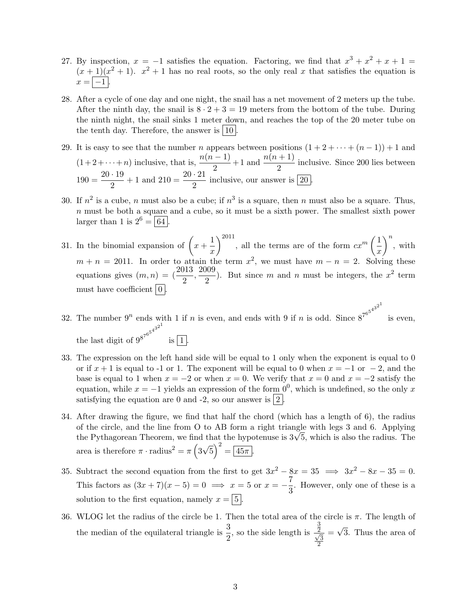- 27. By inspection,  $x = -1$  satisfies the equation. Factoring, we find that  $x^3 + x^2 + x + 1 =$  $(x+1)(x^2+1)$ .  $x^2+1$  has no real roots, so the only real x that satisfies the equation is  $x = \boxed{-1}$ .
- 28. After a cycle of one day and one night, the snail has a net movement of 2 meters up the tube. After the ninth day, the snail is  $8 \cdot 2 + 3 = 19$  meters from the bottom of the tube. During the ninth night, the snail sinks 1 meter down, and reaches the top of the 20 meter tube on the tenth day. Therefore, the answer is  $|10|$ .
- 29. It is easy to see that the number n appears between positions  $(1 + 2 + \cdots + (n 1)) + 1$  and  $(1+2+\cdots+n)$  inclusive, that is,  $\frac{n(n-1)}{2}+1$  and  $\frac{n(n+1)}{2}$  inclusive. Since 200 lies between  $190 = \frac{20 \cdot 19}{8}$  $\frac{19}{2} + 1$  and  $210 = \frac{20 \cdot 21}{2}$  inclusive, our answer is  $\boxed{20}$ .
- 30. If  $n^2$  is a cube, n must also be a cube; if  $n^3$  is a square, then n must also be a square. Thus,  $n$  must be both a square and a cube, so it must be a sixth power. The smallest sixth power larger than 1 is  $2^6 = \boxed{64}$ .
- 31. In the binomial expansion of  $\left(x + \frac{1}{x}\right)$  $\boldsymbol{x}$  $\Big)^{2011}$ , all the terms are of the form  $cx^m\left(\frac{1}{x}\right)$  $\boldsymbol{x}$  $\Big)^n$ , with  $m + n = 2011$ . In order to attain the term  $x^2$ , we must have  $m - n = 2$ . Solving these equations gives  $(m, n) = \left(\frac{2013}{2}, \frac{2009}{2}\right)$  $\frac{1}{2}$ ). But since m and n must be integers, the  $x^2$  term must have coefficient  $\boxed{0}$ .
- 32. The number  $9^n$  ends with 1 if n is even, and ends with 9 if n is odd. Since  $8^{7^{6^{5^{4^{3^{2}}}}}}$ is even, the last digit of  $9^{8^{7^{6^5}}}$  $4^{3^{2^{1}}}$ is  $\boxed{1}$
- 33. The expression on the left hand side will be equal to 1 only when the exponent is equal to 0 or if  $x + 1$  is equal to -1 or 1. The exponent will be equal to 0 when  $x = -1$  or  $-2$ , and the base is equal to 1 when  $x = -2$  or when  $x = 0$ . We verify that  $x = 0$  and  $x = -2$  satisfy the equation, while  $x = -1$  yields an expression of the form  $0^0$ , which is undefined, so the only x satisfying the equation are 0 and -2, so our answer is  $|2|$ .
- 34. After drawing the figure, we find that half the chord (which has a length of 6), the radius of the circle, and the line from O to AB form a right triangle with legs 3 and 6. Applying or the circle, and the line from O to AB form a right triangle with legs 3 and 6. Applying the Pythagorean Theorem, we find that the hypotenuse is  $3\sqrt{5}$ , which is also the radius. The area is therefore  $\pi \cdot \text{radius}^2 = \pi \left(3\right)$ √  $\overline{5}$ )<sup>2</sup> =  $\overline{45\pi}$ .
- 35. Subtract the second equation from the first to get  $3x^2 8x = 35 \implies 3x^2 8x 35 = 0$ . This factors as  $(3x+7)(x-5) = 0 \implies x = 5$  or  $x = -\frac{7}{8}$  $\frac{1}{3}$ . However, only one of these is a solution to the first equation, namely  $x = \vert 5 \vert$ .
- 36. WLOG let the radius of the circle be 1. Then the total area of the circle is  $\pi$ . The length of the median of the equilateral triangle is  $\frac{3}{2}$ , so the side length is 3  $\frac{\overline{2}}{\sqrt{3}}$ 2 = √ 3. Thus the area of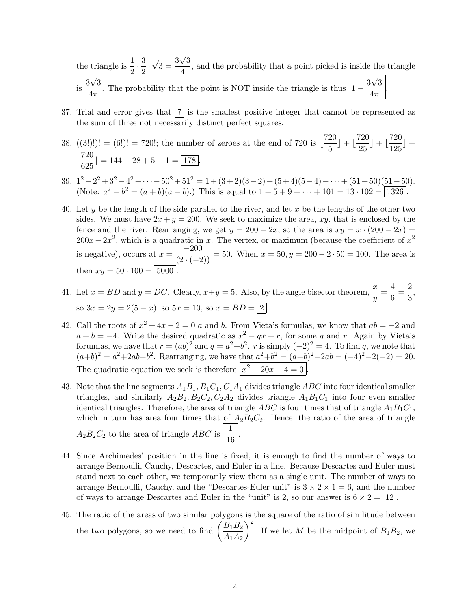the triangle is  $\frac{1}{2} \cdot \frac{3}{2}$  $\frac{5}{2}$ . √  $\frac{3}{3} = \frac{3}{3}$ √ 3  $\frac{\sqrt{3}}{4}$ , and the probability that a point picked is inside the triangle  $\frac{3}{15}$ √ 3  $\frac{3\sqrt{3}}{4\pi}$ . The probability that the point is NOT inside the triangle is thus  $\left|1-\frac{3\sqrt{3}}{4\pi}\right|$ . √ 3  $4\pi$ .

- 37. Trial and error gives that  $|7|$  is the smallest positive integer that cannot be represented as the sum of three not necessarily distinct perfect squares.
- 38.  $((3!)!) = (6!) = 720!$ ; the number of zeroes at the end of 720 is  $\frac{720}{5}$  $\left(\frac{20}{5}\right) + \left(\frac{720}{25}\right)$  $\left[\frac{720}{25}\right] + \left[\frac{720}{125}\right]$  $\frac{126}{125}$  +  $\frac{720}{205}$  $\frac{128}{625}$ ] = 144 + 28 + 5 + 1 =  $\boxed{178}$ .
- 39.  $1^2 2^2 + 3^2 4^2 + \cdots 50^2 + 51^2 = 1 + (3+2)(3-2) + (5+4)(5-4) + \cdots + (51+50)(51-50)$ . (Note:  $a^2 - b^2 = (a + b)(a - b)$ .) This is equal to  $1 + 5 + 9 + \cdots + 101 = 13 \cdot 102 = \boxed{1326}$ .
- 40. Let y be the length of the side parallel to the river, and let x be the lengths of the other two sides. We must have  $2x + y = 200$ . We seek to maximize the area, xy, that is enclosed by the fence and the river. Rearranging, we get  $y = 200 - 2x$ , so the area is  $xy = x \cdot (200 - 2x) =$  $200x - 2x^2$ , which is a quadratic in x. The vertex, or maximum (because the coefficient of  $x^2$ is negative), occurs at  $x = \frac{-200}{(2 \cdot (-2))} = 50$ . When  $x = 50$ ,  $y = 200 - 2 \cdot 50 = 100$ . The area is then  $xy = 50 \cdot 100 = | 5000$
- 41. Let  $x = BD$  and  $y = DC$ . Clearly,  $x+y = 5$ . Also, by the angle bisector theorem,  $\frac{x}{y} = \frac{4}{6}$  $\frac{4}{6} = \frac{2}{3}$  $\frac{1}{3}$ so  $3x = 2y = 2(5 - x)$ , so  $5x = 10$ , so  $x = BD = 2$ .
- 42. Call the roots of  $x^2 + 4x 2 = 0$  a and b. From Vieta's formulas, we know that  $ab = -2$  and  $a + b = -4$ . Write the desired quadratic as  $x^2 - qx + r$ , for some q and r. Again by Vieta's forumlas, we have that  $r = (ab)^2$  and  $q = a^2+b^2$ . r is simply  $(-2)^2 = 4$ . To find q, we note that  $(a+b)^2 = a^2+2ab+b^2$ . Rearranging, we have that  $a^2+b^2 = (a+b)^2-2ab = (-4)^2-2(-2) = 20$ . The quadratic equation we seek is therefore  $\left| x^2 - 20x + 4 = 0 \right|$ .
- 43. Note that the line segments  $A_1B_1, B_1C_1, C_1A_1$  divides triangle ABC into four identical smaller triangles, and similarly  $A_2B_2, B_2C_2, C_2A_2$  divides triangle  $A_1B_1C_1$  into four even smaller identical triangles. Therefore, the area of triangle ABC is four times that of triangle  $A_1B_1C_1$ , which in turn has area four times that of  $A_2B_2C_2$ . Hence, the ratio of the area of triangle  $A_2B_2C_2$  to the area of triangle ABC is  $\frac{1}{16}$  $\frac{1}{16}$ .
- 44. Since Archimedes' position in the line is fixed, it is enough to find the number of ways to arrange Bernoulli, Cauchy, Descartes, and Euler in a line. Because Descartes and Euler must stand next to each other, we temporarily view them as a single unit. The number of ways to arrange Bernoulli, Cauchy, and the "Descartes-Euler unit" is  $3 \times 2 \times 1 = 6$ , and the number of ways to arrange Descartes and Euler in the "unit" is 2, so our answer is  $6 \times 2 = |12|$
- 45. The ratio of the areas of two similar polygons is the square of the ratio of similitude between the two polygons, so we need to find  $\left(\frac{B_1B_2}{4\mu}\right)$  $A_1A_2$  $\setminus^2$ . If we let M be the midpoint of  $B_1B_2$ , we